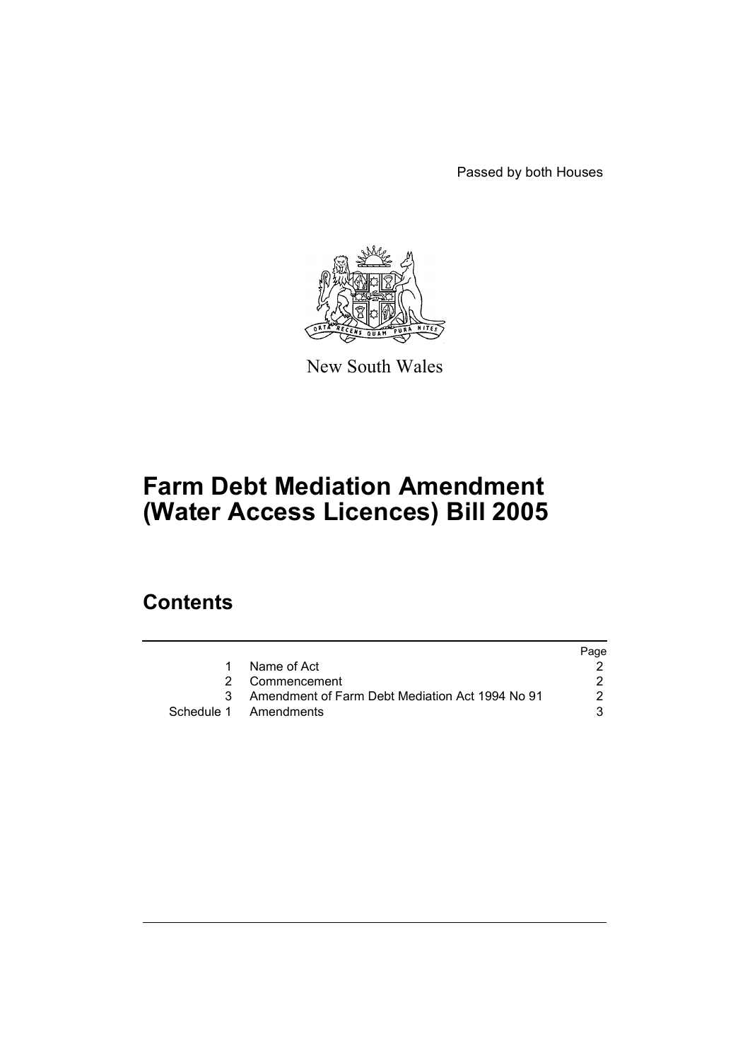Passed by both Houses



New South Wales

# **Farm Debt Mediation Amendment (Water Access Licences) Bill 2005**

### **Contents**

|                                                   | Page |
|---------------------------------------------------|------|
| 1 Name of Act                                     |      |
| 2 Commencement                                    |      |
| 3 Amendment of Farm Debt Mediation Act 1994 No 91 | 2    |
| Schedule 1 Amendments                             |      |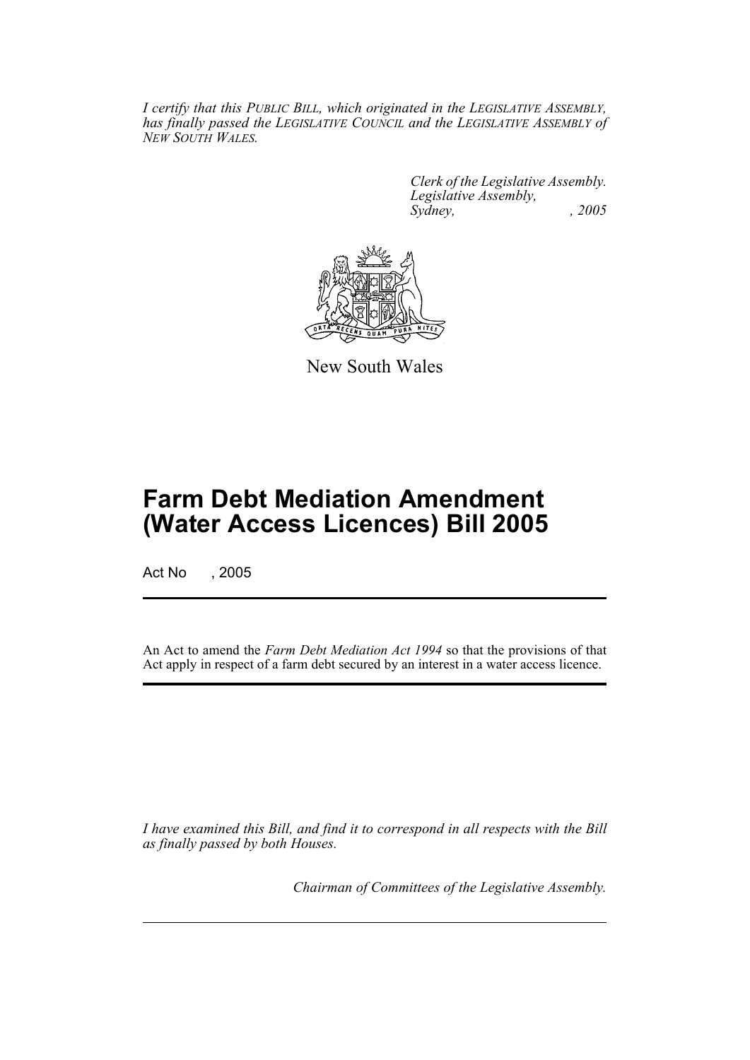*I certify that this PUBLIC BILL, which originated in the LEGISLATIVE ASSEMBLY, has finally passed the LEGISLATIVE COUNCIL and the LEGISLATIVE ASSEMBLY of NEW SOUTH WALES.*

> *Clerk of the Legislative Assembly. Legislative Assembly, Sydney, , 2005*



New South Wales

## **Farm Debt Mediation Amendment (Water Access Licences) Bill 2005**

Act No , 2005

An Act to amend the *Farm Debt Mediation Act 1994* so that the provisions of that Act apply in respect of a farm debt secured by an interest in a water access licence.

*I have examined this Bill, and find it to correspond in all respects with the Bill as finally passed by both Houses.*

*Chairman of Committees of the Legislative Assembly.*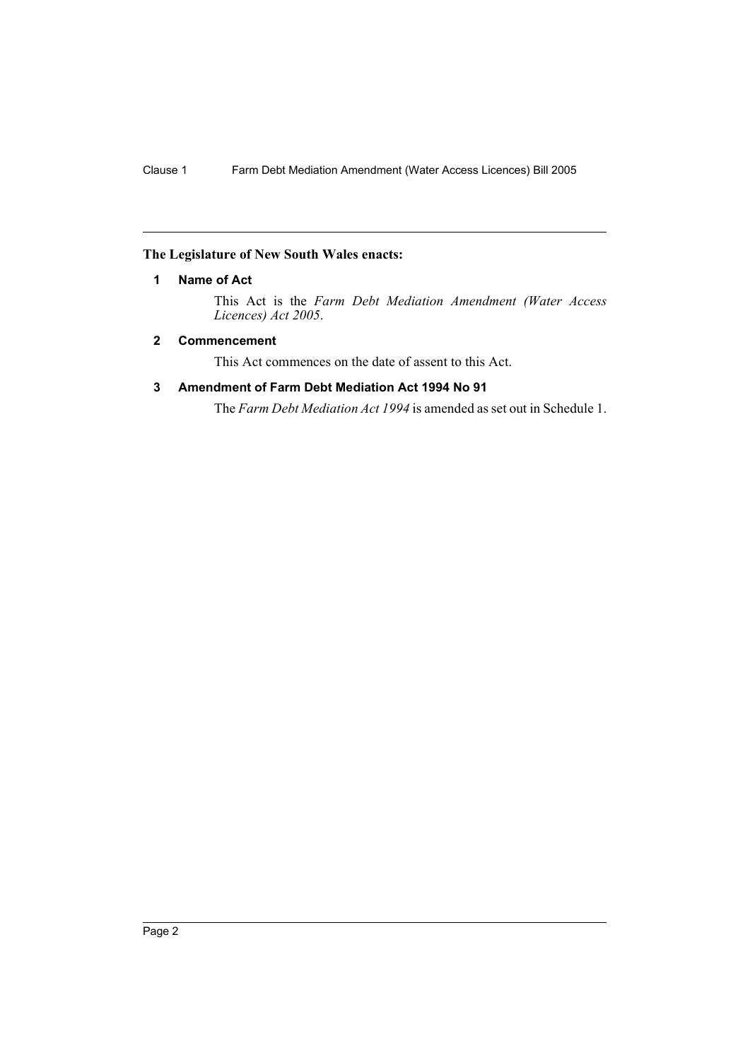#### **The Legislature of New South Wales enacts:**

#### **1 Name of Act**

This Act is the *Farm Debt Mediation Amendment (Water Access Licences) Act 2005*.

#### **2 Commencement**

This Act commences on the date of assent to this Act.

#### **3 Amendment of Farm Debt Mediation Act 1994 No 91**

The *Farm Debt Mediation Act 1994* is amended as set out in Schedule 1.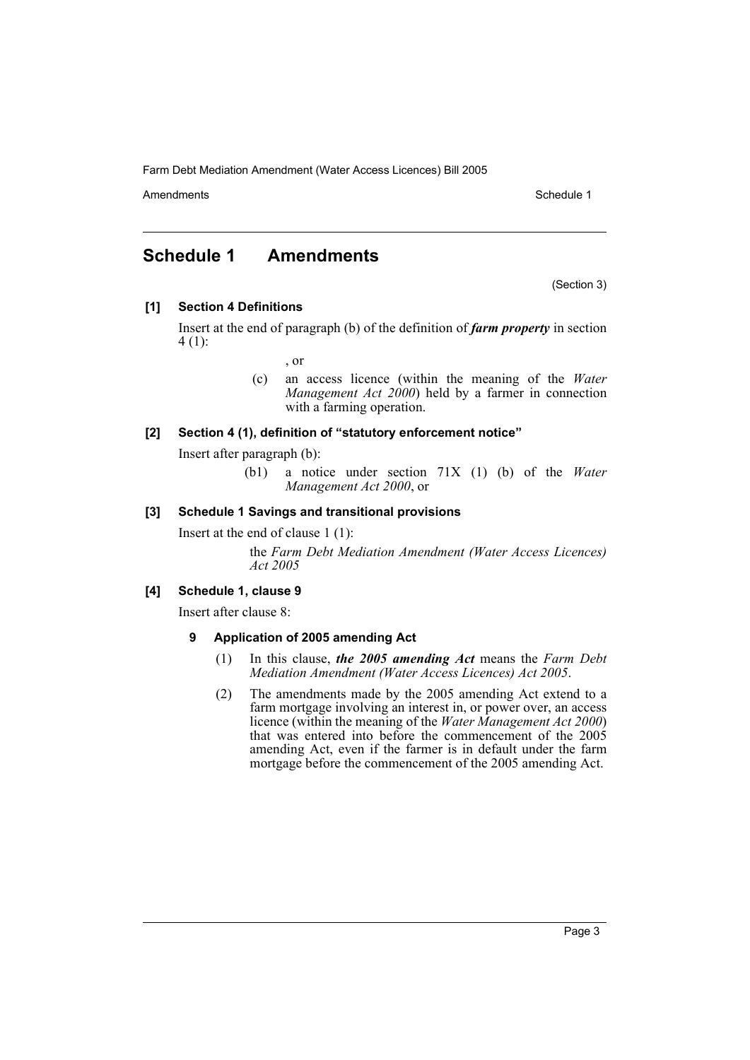Farm Debt Mediation Amendment (Water Access Licences) Bill 2005

Amendments **Schedule 1** and the set of the set of the set of the set of the set of the set of the set of the set of the set of the set of the set of the set of the set of the set of the set of the set of the set of the set

### **Schedule 1 Amendments**

(Section 3)

**[1] Section 4 Definitions**

Insert at the end of paragraph (b) of the definition of *farm property* in section 4 (1):

- , or
- (c) an access licence (within the meaning of the *Water Management Act 2000*) held by a farmer in connection with a farming operation.

#### **[2] Section 4 (1), definition of "statutory enforcement notice"**

Insert after paragraph (b):

(b1) a notice under section 71X (1) (b) of the *Water Management Act 2000*, or

#### **[3] Schedule 1 Savings and transitional provisions**

Insert at the end of clause 1 (1):

the *Farm Debt Mediation Amendment (Water Access Licences) Act 2005*

#### **[4] Schedule 1, clause 9**

Insert after clause 8:

#### **9 Application of 2005 amending Act**

- (1) In this clause, *the 2005 amending Act* means the *Farm Debt Mediation Amendment (Water Access Licences) Act 2005*.
- (2) The amendments made by the 2005 amending Act extend to a farm mortgage involving an interest in, or power over, an access licence (within the meaning of the *Water Management Act 2000*) that was entered into before the commencement of the 2005 amending Act, even if the farmer is in default under the farm mortgage before the commencement of the 2005 amending Act.